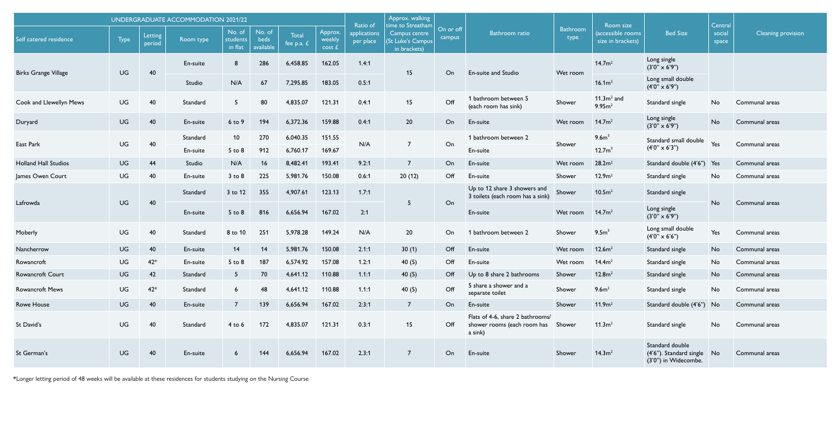| <b>UNDERGRADUATE ACCOMMODATION 2021/22</b> |      |                   |                      |                               |                             |                      |                             |                                       | Approx. walking<br>time to Streatham               |                     |                                                                            |                  |                                                     |                                                                       | Central         |                    |
|--------------------------------------------|------|-------------------|----------------------|-------------------------------|-----------------------------|----------------------|-----------------------------|---------------------------------------|----------------------------------------------------|---------------------|----------------------------------------------------------------------------|------------------|-----------------------------------------------------|-----------------------------------------------------------------------|-----------------|--------------------|
| Self catered residence                     | Type | Letting<br>period | Room type            | No. of<br>students<br>in flat | No. of<br>beds<br>available | Total<br>fee p.a. £  | Approx.<br>weekly<br>cost f | Ratio of<br>applications<br>per place | Campus centre<br>(St Luke's Campus<br>in brackets) | On or off<br>campus | <b>Bathroom</b> ratio                                                      | Bathroom<br>type | Room size<br>(accessible rooms<br>size in brackets) | <b>Bed Size</b>                                                       | social<br>space | Cleaning provision |
| <b>Birks Grange Village</b>                | UG   | 40                | En-suite             | 8                             | 286                         | 6,458.85             | 162.05                      | 1.4:1                                 | 15                                                 | On                  | En-suite and Studio                                                        | Wet room         | 14.7 <sup>2</sup>                                   | Long single<br>$(3'0'' \times 6'9'')$                                 |                 |                    |
|                                            |      |                   | Studio               | N/A                           | 67                          | 7,295.85             | 183.05                      | 0.5:1                                 |                                                    |                     |                                                                            |                  | 16.1m <sup>2</sup>                                  | Long small double<br>$(4'0'' \times 6'9'')$                           |                 |                    |
| Cook and Llewellyn Mews                    | UG   | 40                | Standard             | 5                             | 80                          | 4.835.07             | 121.31                      | 0.4:1                                 | 15                                                 | Off                 | 1 bathroom between 5<br>(each room has sink)                               | Shower           | $11.3m2$ and<br>9.95 <sup>2</sup>                   | Standard single                                                       | No.             | Communal areas     |
| Duryard                                    | UG   | 40                | En-suite             | 6 to 9                        | 194                         | 6,372.36             | 159.88                      | 0.4:1                                 | 20                                                 | On                  | En-suite                                                                   | Wet room         | 14.7 <sup>m²</sup>                                  | Long single<br>$(3'0'' \times 6'9'')$                                 | N <sub>o</sub>  | Communal areas     |
| East Park                                  | UG   | 40                | Standard<br>En-suite | 10<br>$5$ to $8$              | 270<br>912                  | 6.040.35<br>6.760.17 | 151.55<br>169.67            | N/A                                   | $\overline{7}$                                     | On                  | 1 bathroom between 2<br>En-suite                                           | Shower           | 9.6m <sup>2</sup><br>12.7m <sup>2</sup>             | Standard small double<br>$(4'0'' \times 6'3'')$                       | <b>Yes</b>      | Communal areas     |
| <b>Holland Hall Studios</b>                | UG   | 44                | Studio               | N/A                           | 16                          | 8,482.41             | 193.41                      | 9.2:1                                 | $\overline{7}$                                     | On                  | En-suite                                                                   | Wet room         | 28.2 <sup>2</sup>                                   | Standard double (4'6")                                                | Yes             | Communal areas     |
| James Owen Court                           | UG   | 40                | En-suite             | $3$ to $8$                    | 225                         | 5,981.76             | 150.08                      | 0.6:1                                 | 20(12)                                             | Off                 | En-suite                                                                   | Shower           | 12.9 <sup>m²</sup>                                  | Standard single                                                       | No.             | Communal areas     |
| Lafrowda                                   | UG   | 40                | Standard             | 3 to 12                       | 355                         | 4,907.61             | 123.13                      | 1.7:1                                 | 5                                                  | On                  | Up to 12 share 3 showers and<br>3 toilets (each room has a sink)           | Shower           | 10.5m <sup>2</sup>                                  | Standard single                                                       | N <sub>o</sub>  | Communal areas     |
|                                            |      |                   | En-suite             | $5$ to $8$                    | 816                         | 6,656.94             | 167.02                      | 2:1                                   |                                                    |                     | En-suite                                                                   | Wet room         | 14.7m <sup>2</sup>                                  | Long single<br>$(3'0'' \times 6'9'')$                                 |                 |                    |
| Moberly                                    | UG   | 40                | Standard             | 8 to 10                       | 251                         | 5,978.28             | 149.24                      | N/A                                   | 20                                                 | On                  | 1 bathroom between 2                                                       | Shower           | 9.5m <sup>2</sup>                                   | Long small double<br>$(4'0'' \times 6'6'')$                           | Yes             | Communal areas     |
| Nancherrow                                 | UG   | 40                | En-suite             | 14                            | 14                          | 5,981.76             | 150.08                      | 2.1:1                                 | 30(1)                                              | Off                 | En-suite                                                                   | Wet room         | 12.6m <sup>2</sup>                                  | Standard single                                                       | N <sub>o</sub>  | Communal areas     |
| Rowancroft                                 | UG   | $42*$             | En-suite             | $5$ to $8$                    | 187                         | 6,574.92             | 157.08                      | 1.2:1                                 | 40(5)                                              | Off                 | En-suite                                                                   | Wet room         | 14.4m <sup>2</sup>                                  | Standard single                                                       | No              | Communal areas     |
| <b>Rowancroft Court</b>                    | UG   | 42                | Standard             | 5                             | 70                          | 4,641.12             | 110.88                      | 1.1:1                                 | 40(5)                                              | Off                 | Up to 8 share 2 bathrooms                                                  | Shower           | 12.8 <sup>2</sup>                                   | Standard single                                                       | No.             | Communal areas     |
| <b>Rowancroft Mews</b>                     | UG   | $42*$             | Standard             | 6                             | 48                          | 4,641.12             | 110.88                      | 1.1:1                                 | 40(5)                                              | Off                 | 5 share a shower and a<br>separate toilet                                  | Shower           | 9.6 <sup>m²</sup>                                   | Standard single                                                       | No.             | Communal areas     |
| <b>Rowe House</b>                          | UG   | 40                | En-suite             | $\overline{7}$                | 139                         | 6,656.94             | 167.02                      | 2:3:1                                 | $\overline{7}$                                     | On                  | En-suite                                                                   | Shower           | 11.9 <sup>m²</sup>                                  | Standard double (4'6")                                                | <b>No</b>       | Communal areas     |
| St David's                                 | UG   | 40                | Standard             | $4$ to 6                      | 172                         | 4,835.07             | 121.31                      | 0.3:1                                 | 15                                                 | Off                 | Flats of 4-6, share 2 bathrooms/<br>shower rooms (each room has<br>a sink) | Shower           | 11.3m <sup>2</sup>                                  | Standard single                                                       | No.             | Communal areas     |
| St German's                                | UG   | 40                | En-suite             | -6                            | 144                         | 6,656.94             | 167.02                      | 2.3:1                                 | $\overline{7}$                                     | On                  | En-suite                                                                   | Shower           | 14.3m <sup>2</sup>                                  | Standard double<br>(4'6"). Standard single No<br>(3'0") in Widecombe. |                 | Communal areas     |

\*Longer letting period of 48 weeks will be available at these residences for students studying on the Nursing Course